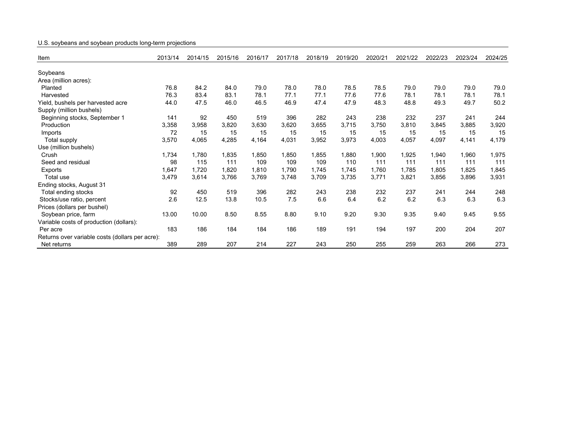## U.S. soybeans and soybean products long-term projections

| Item                                            | 2013/14 | 2014/15 | 2015/16 | 2016/17 | 2017/18 | 2018/19 | 2019/20 | 2020/21 | 2021/22 | 2022/23 | 2023/24 | 2024/25 |
|-------------------------------------------------|---------|---------|---------|---------|---------|---------|---------|---------|---------|---------|---------|---------|
| Soybeans                                        |         |         |         |         |         |         |         |         |         |         |         |         |
| Area (million acres):                           |         |         |         |         |         |         |         |         |         |         |         |         |
| Planted                                         | 76.8    | 84.2    | 84.0    | 79.0    | 78.0    | 78.0    | 78.5    | 78.5    | 79.0    | 79.0    | 79.0    | 79.0    |
| Harvested                                       | 76.3    | 83.4    | 83.1    | 78.1    | 77.1    | 77.1    | 77.6    | 77.6    | 78.1    | 78.1    | 78.1    | 78.1    |
| Yield, bushels per harvested acre               | 44.0    | 47.5    | 46.0    | 46.5    | 46.9    | 47.4    | 47.9    | 48.3    | 48.8    | 49.3    | 49.7    | 50.2    |
| Supply (million bushels)                        |         |         |         |         |         |         |         |         |         |         |         |         |
| Beginning stocks, September 1                   | 141     | 92      | 450     | 519     | 396     | 282     | 243     | 238     | 232     | 237     | 241     | 244     |
| Production                                      | 3,358   | 3,958   | 3,820   | 3,630   | 3,620   | 3,655   | 3,715   | 3,750   | 3,810   | 3,845   | 3,885   | 3,920   |
| Imports                                         | 72      | 15      | 15      | 15      | 15      | 15      | 15      | 15      | 15      | 15      | 15      | 15      |
| Total supply                                    | 3,570   | 4,065   | 4,285   | 4,164   | 4,031   | 3,952   | 3,973   | 4,003   | 4,057   | 4,097   | 4,141   | 4,179   |
| Use (million bushels)                           |         |         |         |         |         |         |         |         |         |         |         |         |
| Crush                                           | 1,734   | 1,780   | 1,835   | 1,850   | 1,850   | 1,855   | 1,880   | 1,900   | 1,925   | 1,940   | 1,960   | 1,975   |
|                                                 |         |         |         |         |         |         |         |         |         |         |         |         |
| Seed and residual                               | 98      | 115     | 111     | 109     | 109     | 109     | 110     | 111     | 111     | 111     | 111     | 111     |
| Exports                                         | 1,647   | 1,720   | 1,820   | 1,810   | 1,790   | 1,745   | 1,745   | 1,760   | 1,785   | 1,805   | 1,825   | 1,845   |
| Total use                                       | 3,479   | 3,614   | 3,766   | 3,769   | 3,748   | 3,709   | 3,735   | 3,771   | 3,821   | 3,856   | 3,896   | 3,931   |
| Ending stocks, August 31                        |         |         |         |         |         |         |         |         |         |         |         |         |
| Total ending stocks                             | 92      | 450     | 519     | 396     | 282     | 243     | 238     | 232     | 237     | 241     | 244     | 248     |
| Stocks/use ratio, percent                       | 2.6     | 12.5    | 13.8    | 10.5    | 7.5     | 6.6     | 6.4     | 6.2     | 6.2     | 6.3     | 6.3     | 6.3     |
| Prices (dollars per bushel)                     |         |         |         |         |         |         |         |         |         |         |         |         |
| Soybean price, farm                             | 13.00   | 10.00   | 8.50    | 8.55    | 8.80    | 9.10    | 9.20    | 9.30    | 9.35    | 9.40    | 9.45    | 9.55    |
| Variable costs of production (dollars):         |         |         |         |         |         |         |         |         |         |         |         |         |
| Per acre                                        | 183     | 186     | 184     | 184     | 186     | 189     | 191     | 194     | 197     | 200     | 204     | 207     |
| Returns over variable costs (dollars per acre): |         |         |         |         |         |         |         |         |         |         |         |         |
| Net returns                                     | 389     | 289     | 207     | 214     | 227     | 243     | 250     | 255     | 259     | 263     | 266     | 273     |